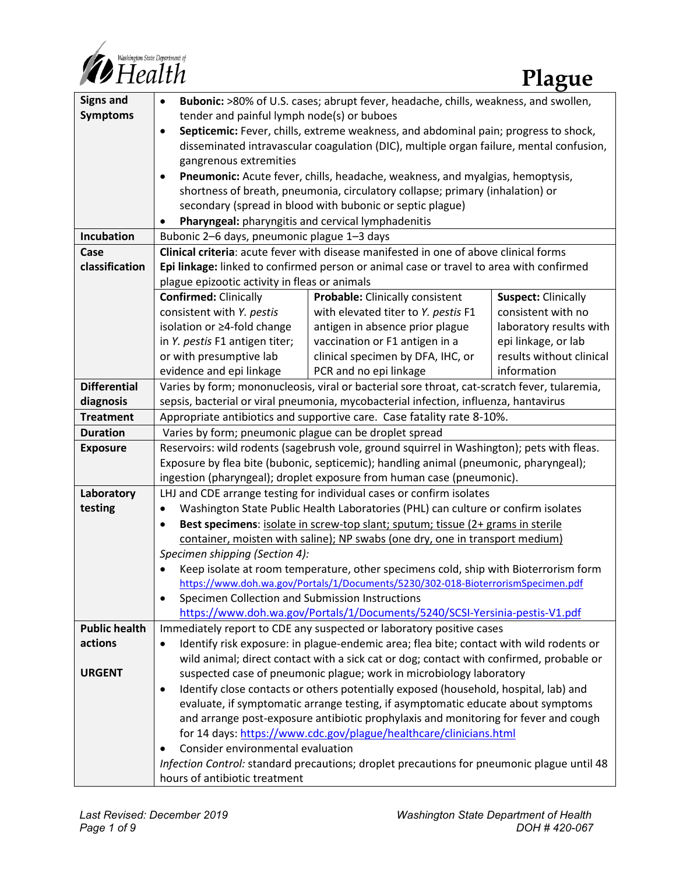

| <b>Signs and</b>      | Bubonic: >80% of U.S. cases; abrupt fever, headache, chills, weakness, and swollen,<br>$\bullet$                                              |                                     |                            |
|-----------------------|-----------------------------------------------------------------------------------------------------------------------------------------------|-------------------------------------|----------------------------|
| <b>Symptoms</b>       | tender and painful lymph node(s) or buboes                                                                                                    |                                     |                            |
|                       | Septicemic: Fever, chills, extreme weakness, and abdominal pain; progress to shock,<br>$\bullet$                                              |                                     |                            |
|                       | disseminated intravascular coagulation (DIC), multiple organ failure, mental confusion,                                                       |                                     |                            |
|                       | gangrenous extremities                                                                                                                        |                                     |                            |
|                       | Pneumonic: Acute fever, chills, headache, weakness, and myalgias, hemoptysis,<br>$\bullet$                                                    |                                     |                            |
|                       | shortness of breath, pneumonia, circulatory collapse; primary (inhalation) or                                                                 |                                     |                            |
|                       | secondary (spread in blood with bubonic or septic plague)                                                                                     |                                     |                            |
|                       | Pharyngeal: pharyngitis and cervical lymphadenitis<br>$\bullet$                                                                               |                                     |                            |
| Incubation            | Bubonic 2-6 days, pneumonic plague 1-3 days                                                                                                   |                                     |                            |
| Case                  | Clinical criteria: acute fever with disease manifested in one of above clinical forms                                                         |                                     |                            |
| classification        | Epi linkage: linked to confirmed person or animal case or travel to area with confirmed                                                       |                                     |                            |
|                       | plague epizootic activity in fleas or animals                                                                                                 |                                     |                            |
|                       | <b>Confirmed: Clinically</b>                                                                                                                  | Probable: Clinically consistent     | <b>Suspect: Clinically</b> |
|                       | consistent with Y. pestis                                                                                                                     | with elevated titer to Y. pestis F1 | consistent with no         |
|                       | isolation or ≥4-fold change                                                                                                                   | antigen in absence prior plague     | laboratory results with    |
|                       | in Y. pestis F1 antigen titer;                                                                                                                | vaccination or F1 antigen in a      | epi linkage, or lab        |
|                       | or with presumptive lab                                                                                                                       | clinical specimen by DFA, IHC, or   | results without clinical   |
|                       | evidence and epi linkage                                                                                                                      | PCR and no epi linkage              | information                |
| <b>Differential</b>   | Varies by form; mononucleosis, viral or bacterial sore throat, cat-scratch fever, tularemia,                                                  |                                     |                            |
| diagnosis             | sepsis, bacterial or viral pneumonia, mycobacterial infection, influenza, hantavirus                                                          |                                     |                            |
| <b>Treatment</b>      | Appropriate antibiotics and supportive care. Case fatality rate 8-10%.                                                                        |                                     |                            |
| <b>Duration</b>       | Varies by form; pneumonic plague can be droplet spread                                                                                        |                                     |                            |
| <b>Exposure</b>       | Reservoirs: wild rodents (sagebrush vole, ground squirrel in Washington); pets with fleas.                                                    |                                     |                            |
|                       | Exposure by flea bite (bubonic, septicemic); handling animal (pneumonic, pharyngeal);                                                         |                                     |                            |
|                       | ingestion (pharyngeal); droplet exposure from human case (pneumonic).<br>LHJ and CDE arrange testing for individual cases or confirm isolates |                                     |                            |
| Laboratory<br>testing | Washington State Public Health Laboratories (PHL) can culture or confirm isolates<br>٠                                                        |                                     |                            |
|                       | Best specimens: isolate in screw-top slant; sputum; tissue (2+ grams in sterile<br>$\bullet$                                                  |                                     |                            |
|                       | container, moisten with saline); NP swabs (one dry, one in transport medium)                                                                  |                                     |                            |
|                       | Specimen shipping (Section 4):                                                                                                                |                                     |                            |
|                       | Keep isolate at room temperature, other specimens cold, ship with Bioterrorism form                                                           |                                     |                            |
|                       | https://www.doh.wa.gov/Portals/1/Documents/5230/302-018-BioterrorismSpecimen.pdf                                                              |                                     |                            |
|                       | Specimen Collection and Submission Instructions<br>٠                                                                                          |                                     |                            |
|                       | https://www.doh.wa.gov/Portals/1/Documents/5240/SCSI-Yersinia-pestis-V1.pdf                                                                   |                                     |                            |
| <b>Public health</b>  | Immediately report to CDE any suspected or laboratory positive cases                                                                          |                                     |                            |
| actions               | Identify risk exposure: in plague-endemic area; flea bite; contact with wild rodents or<br>$\bullet$                                          |                                     |                            |
|                       | wild animal; direct contact with a sick cat or dog; contact with confirmed, probable or                                                       |                                     |                            |
| <b>URGENT</b>         | suspected case of pneumonic plague; work in microbiology laboratory                                                                           |                                     |                            |
|                       | Identify close contacts or others potentially exposed (household, hospital, lab) and<br>٠                                                     |                                     |                            |
|                       | evaluate, if symptomatic arrange testing, if asymptomatic educate about symptoms                                                              |                                     |                            |
|                       | and arrange post-exposure antibiotic prophylaxis and monitoring for fever and cough                                                           |                                     |                            |
|                       | for 14 days: https://www.cdc.gov/plague/healthcare/clinicians.html                                                                            |                                     |                            |
|                       | Consider environmental evaluation                                                                                                             |                                     |                            |
|                       | Infection Control: standard precautions; droplet precautions for pneumonic plague until 48                                                    |                                     |                            |
|                       | hours of antibiotic treatment                                                                                                                 |                                     |                            |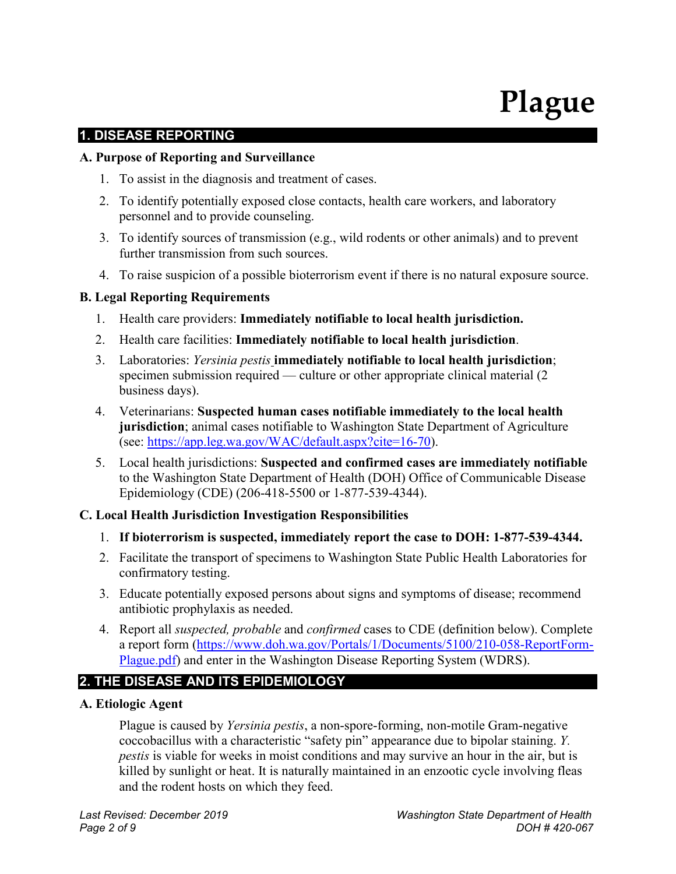# **Plague**

# **1. DISEASE REPORTING**

#### **A. Purpose of Reporting and Surveillance**

- 1. To assist in the diagnosis and treatment of cases.
- 2. To identify potentially exposed close contacts, health care workers, and laboratory personnel and to provide counseling.
- 3. To identify sources of transmission (e.g., wild rodents or other animals) and to prevent further transmission from such sources.
- 4. To raise suspicion of a possible bioterrorism event if there is no natural exposure source.

#### **B. Legal Reporting Requirements**

- 1. Health care providers: **Immediately notifiable to local health jurisdiction.**
- 2. Health care facilities: **Immediately notifiable to local health jurisdiction**.
- 3. Laboratories: *Yersinia pestis* **immediately notifiable to local health jurisdiction**; specimen submission required — culture or other appropriate clinical material (2 business days).
- 4. Veterinarians: **Suspected human cases notifiable immediately to the local health jurisdiction**; animal cases notifiable to Washington State Department of Agriculture (see: [https://app.leg.wa.gov/WAC/default.aspx?cite=16-70\)](https://app.leg.wa.gov/WAC/default.aspx?cite=16-70).
- 5. Local health jurisdictions: **Suspected and confirmed cases are immediately notifiable** to the Washington State Department of Health (DOH) Office of Communicable Disease Epidemiology (CDE) (206-418-5500 or 1-877-539-4344).

#### **C. Local Health Jurisdiction Investigation Responsibilities**

- 1. **If bioterrorism is suspected, immediately report the case to DOH: 1-877-539-4344.**
- 2. Facilitate the transport of specimens to Washington State Public Health Laboratories for confirmatory testing.
- 3. Educate potentially exposed persons about signs and symptoms of disease; recommend antibiotic prophylaxis as needed.
- 4. Report all *suspected, probable* and *confirmed* cases to CDE (definition below). Complete a report form [\(https://www.doh.wa.gov/Portals/1/Documents/5100/210-058-ReportForm-](https://www.doh.wa.gov/Portals/1/Documents/5100/210-058-ReportForm-Plague.pdf)[Plague.pdf\)](https://www.doh.wa.gov/Portals/1/Documents/5100/210-058-ReportForm-Plague.pdf) and enter in the Washington Disease Reporting System (WDRS).

# **2. THE DISEASE AND ITS EPIDEMIOLOGY**

#### **A. Etiologic Agent**

Plague is caused by *Yersinia pestis*, a non-spore-forming, non-motile Gram-negative coccobacillus with a characteristic "safety pin" appearance due to bipolar staining. *Y. pestis* is viable for weeks in moist conditions and may survive an hour in the air, but is killed by sunlight or heat. It is naturally maintained in an enzootic cycle involving fleas and the rodent hosts on which they feed.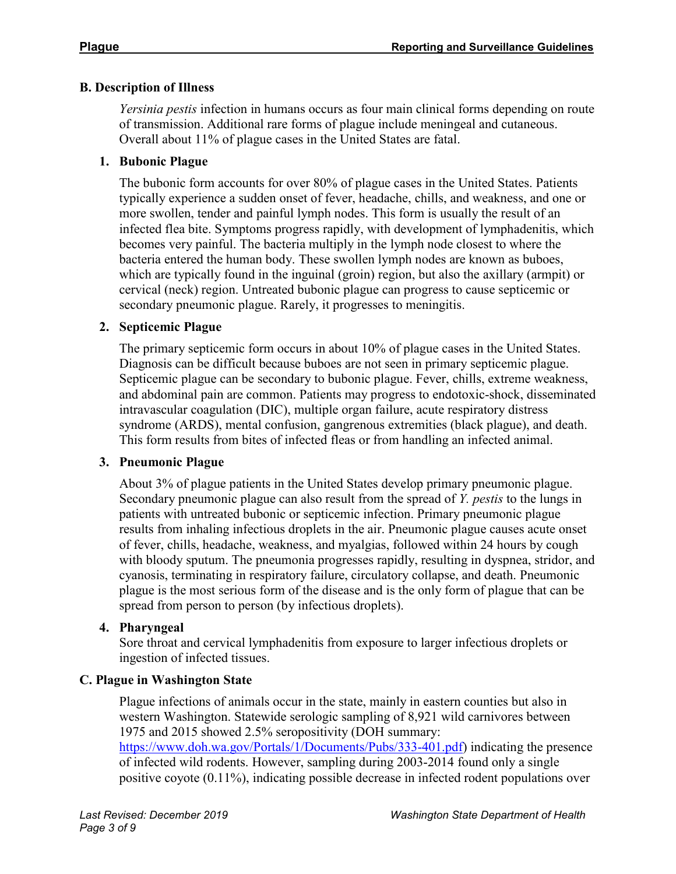## **B. Description of Illness**

*Yersinia pestis* infection in humans occurs as four main clinical forms depending on route of transmission. Additional rare forms of plague include meningeal and cutaneous. Overall about 11% of plague cases in the United States are fatal.

## **1. Bubonic Plague**

The bubonic form accounts for over 80% of plague cases in the United States. Patients typically experience a sudden onset of fever, headache, chills, and weakness, and one or more swollen, tender and painful lymph nodes. This form is usually the result of an infected flea bite. Symptoms progress rapidly, with development of lymphadenitis, which becomes very painful. The bacteria multiply in the lymph node closest to where the bacteria entered the human body. These swollen lymph nodes are known as buboes, which are typically found in the inguinal (groin) region, but also the axillary (armpit) or cervical (neck) region. Untreated bubonic plague can progress to cause septicemic or secondary pneumonic plague. Rarely, it progresses to meningitis.

## **2. Septicemic Plague**

The primary septicemic form occurs in about 10% of plague cases in the United States. Diagnosis can be difficult because buboes are not seen in primary septicemic plague. Septicemic plague can be secondary to bubonic plague. Fever, chills, extreme weakness, and abdominal pain are common. Patients may progress to endotoxic-shock, disseminated intravascular coagulation (DIC), multiple organ failure, acute respiratory distress syndrome (ARDS), mental confusion, gangrenous extremities (black plague), and death. This form results from bites of infected fleas or from handling an infected animal.

#### **3. Pneumonic Plague**

About 3% of plague patients in the United States develop primary pneumonic plague. Secondary pneumonic plague can also result from the spread of *Y. pestis* to the lungs in patients with untreated bubonic or septicemic infection. Primary pneumonic plague results from inhaling infectious droplets in the air. Pneumonic plague causes acute onset of fever, chills, headache, weakness, and myalgias, followed within 24 hours by cough with bloody sputum. The pneumonia progresses rapidly, resulting in dyspnea, stridor, and cyanosis, terminating in respiratory failure, circulatory collapse, and death. Pneumonic plague is the most serious form of the disease and is the only form of plague that can be spread from person to person (by infectious droplets).

#### **4. Pharyngeal**

Sore throat and cervical lymphadenitis from exposure to larger infectious droplets or ingestion of infected tissues.

# **C. Plague in Washington State**

Plague infections of animals occur in the state, mainly in eastern counties but also in western Washington. Statewide serologic sampling of 8,921 wild carnivores between 1975 and 2015 showed 2.5% seropositivity (DOH summary: [https://www.doh.wa.gov/Portals/1/Documents/Pubs/333-401.pdf\)](https://www.doh.wa.gov/Portals/1/Documents/Pubs/333-401.pdf) indicating the presence of infected wild rodents. However, sampling during 2003-2014 found only a single positive coyote (0.11%), indicating possible decrease in infected rodent populations over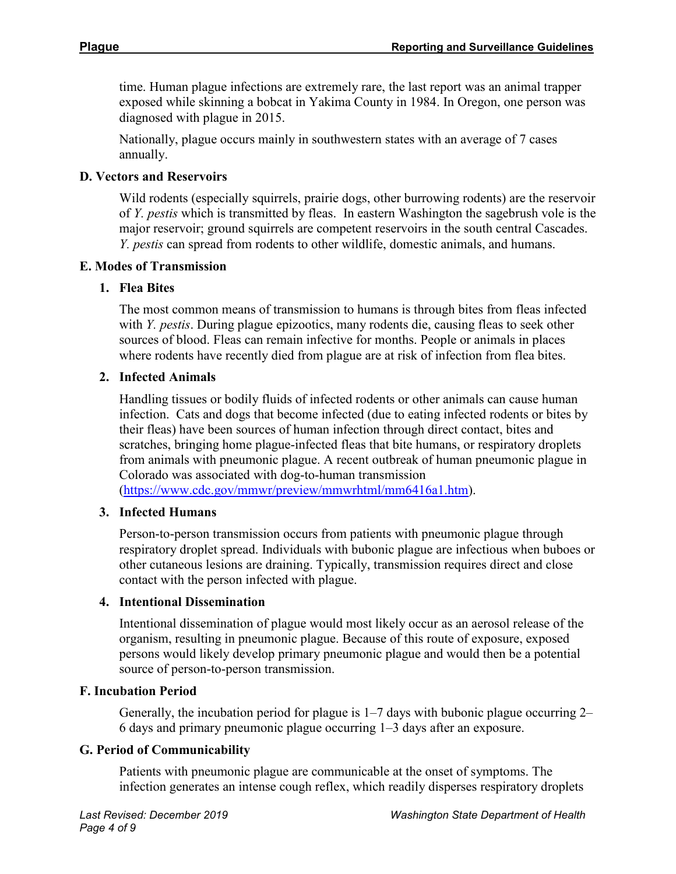time. Human plague infections are extremely rare, the last report was an animal trapper exposed while skinning a bobcat in Yakima County in 1984. In Oregon, one person was diagnosed with plague in 2015.

Nationally, plague occurs mainly in southwestern states with an average of 7 cases annually.

## **D. Vectors and Reservoirs**

Wild rodents (especially squirrels, prairie dogs, other burrowing rodents) are the reservoir of *Y. pestis* which is transmitted by fleas. In eastern Washington the sagebrush vole is the major reservoir; ground squirrels are competent reservoirs in the south central Cascades. *Y. pestis* can spread from rodents to other wildlife, domestic animals, and humans.

#### **E. Modes of Transmission**

## **1. Flea Bites**

The most common means of transmission to humans is through bites from fleas infected with *Y. pestis*. During plague epizootics, many rodents die, causing fleas to seek other sources of blood. Fleas can remain infective for months. People or animals in places where rodents have recently died from plague are at risk of infection from flea bites.

## **2. Infected Animals**

Handling tissues or bodily fluids of infected rodents or other animals can cause human infection. Cats and dogs that become infected (due to eating infected rodents or bites by their fleas) have been sources of human infection through direct contact, bites and scratches, bringing home plague-infected fleas that bite humans, or respiratory droplets from animals with pneumonic plague. A recent outbreak of human pneumonic plague in Colorado was associated with dog-to-human transmission

[\(https://www.cdc.gov/mmwr/preview/mmwrhtml/mm6416a1.htm\)](https://www.cdc.gov/mmwr/preview/mmwrhtml/mm6416a1.htm).

# **3. Infected Humans**

Person-to-person transmission occurs from patients with pneumonic plague through respiratory droplet spread. Individuals with bubonic plague are infectious when buboes or other cutaneous lesions are draining. Typically, transmission requires direct and close contact with the person infected with plague.

#### **4. Intentional Dissemination**

Intentional dissemination of plague would most likely occur as an aerosol release of the organism, resulting in pneumonic plague. Because of this route of exposure, exposed persons would likely develop primary pneumonic plague and would then be a potential source of person-to-person transmission.

#### **F. Incubation Period**

Generally, the incubation period for plague is 1–7 days with bubonic plague occurring 2– 6 days and primary pneumonic plague occurring 1–3 days after an exposure.

#### **G. Period of Communicability**

Patients with pneumonic plague are communicable at the onset of symptoms. The infection generates an intense cough reflex, which readily disperses respiratory droplets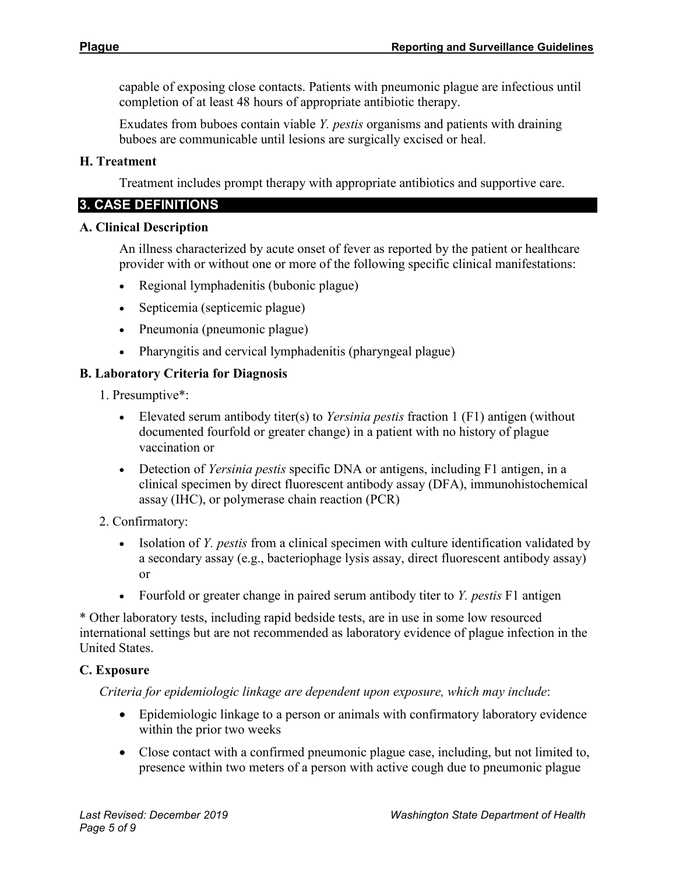capable of exposing close contacts. Patients with pneumonic plague are infectious until completion of at least 48 hours of appropriate antibiotic therapy.

Exudates from buboes contain viable *Y. pestis* organisms and patients with draining buboes are communicable until lesions are surgically excised or heal.

#### **H. Treatment**

Treatment includes prompt therapy with appropriate antibiotics and supportive care.

#### **3. CASE DEFINITIONS**

#### **A. Clinical Description**

An illness characterized by acute onset of fever as reported by the patient or healthcare provider with or without one or more of the following specific clinical manifestations:

- Regional lymphadenitis (bubonic plague)
- Septicemia (septicemic plague)
- Pneumonia (pneumonic plague)
- Pharyngitis and cervical lymphadenitis (pharyngeal plague)

#### **B. Laboratory Criteria for Diagnosis**

1. Presumptive\*:

- Elevated serum antibody titer(s) to *Yersinia pestis* fraction 1 (F1) antigen (without documented fourfold or greater change) in a patient with no history of plague vaccination or
- Detection of *Yersinia pestis* specific DNA or antigens, including F1 antigen, in a clinical specimen by direct fluorescent antibody assay (DFA), immunohistochemical assay (IHC), or polymerase chain reaction (PCR)

#### 2. Confirmatory:

- Isolation of *Y. pestis* from a clinical specimen with culture identification validated by a secondary assay (e.g., bacteriophage lysis assay, direct fluorescent antibody assay) or
- Fourfold or greater change in paired serum antibody titer to *Y. pestis* F1 antigen

\* Other laboratory tests, including rapid bedside tests, are in use in some low resourced international settings but are not recommended as laboratory evidence of plague infection in the United States.

#### **C. Exposure**

*Criteria for epidemiologic linkage are dependent upon exposure, which may include*:

- Epidemiologic linkage to a person or animals with confirmatory laboratory evidence within the prior two weeks
- Close contact with a confirmed pneumonic plague case, including, but not limited to, presence within two meters of a person with active cough due to pneumonic plague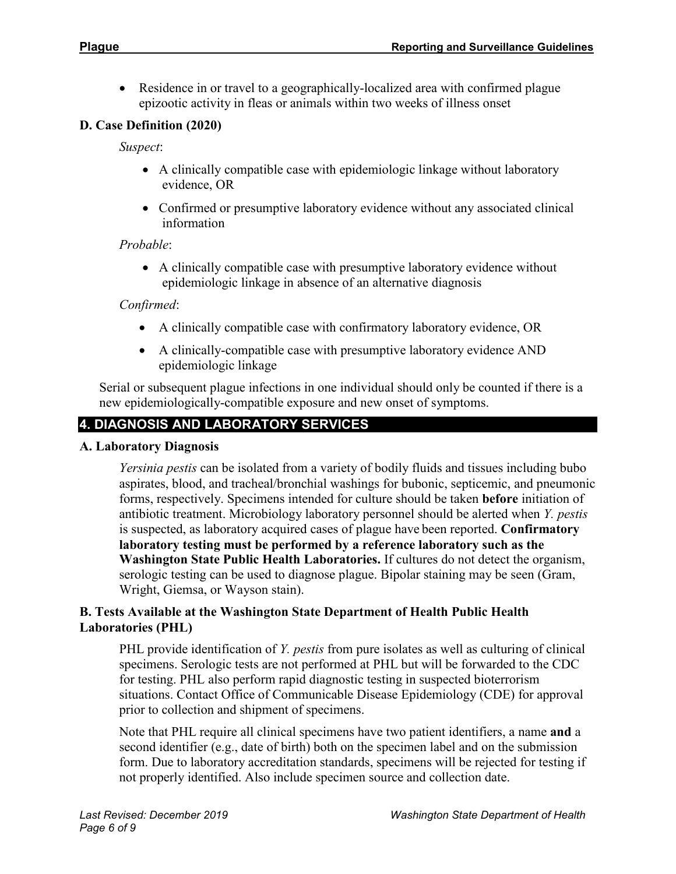• Residence in or travel to a geographically-localized area with confirmed plague epizootic activity in fleas or animals within two weeks of illness onset

## **D. Case Definition (2020)**

*Suspect*:

- A clinically compatible case with epidemiologic linkage without laboratory evidence, OR
- Confirmed or presumptive laboratory evidence without any associated clinical information

#### *Probable*:

• A clinically compatible case with presumptive laboratory evidence without epidemiologic linkage in absence of an alternative diagnosis

#### *Confirmed*:

- A clinically compatible case with confirmatory laboratory evidence, OR
- A clinically-compatible case with presumptive laboratory evidence AND epidemiologic linkage

Serial or subsequent plague infections in one individual should only be counted if there is a new epidemiologically-compatible exposure and new onset of symptoms.

# **4. DIAGNOSIS AND LABORATORY SERVICES**

#### **A. Laboratory Diagnosis**

*Yersinia pestis* can be isolated from a variety of bodily fluids and tissues including bubo aspirates, blood, and tracheal/bronchial washings for bubonic, septicemic, and pneumonic forms, respectively. Specimens intended for culture should be taken **before** initiation of antibiotic treatment. Microbiology laboratory personnel should be alerted when *Y. pestis* is suspected, as laboratory acquired cases of plague have been reported. **Confirmatory laboratory testing must be performed by a reference laboratory such as the Washington State Public Health Laboratories.** If cultures do not detect the organism, serologic testing can be used to diagnose plague. Bipolar staining may be seen (Gram, Wright, Giemsa, or Wayson stain).

#### **B. Tests Available at the Washington State Department of Health Public Health Laboratories (PHL)**

PHL provide identification of *Y. pestis* from pure isolates as well as culturing of clinical specimens. Serologic tests are not performed at PHL but will be forwarded to the CDC for testing. PHL also perform rapid diagnostic testing in suspected bioterrorism situations. Contact Office of Communicable Disease Epidemiology (CDE) for approval prior to collection and shipment of specimens.

Note that PHL require all clinical specimens have two patient identifiers, a name **and** a second identifier (e.g., date of birth) both on the specimen label and on the submission form. Due to laboratory accreditation standards, specimens will be rejected for testing if not properly identified. Also include specimen source and collection date.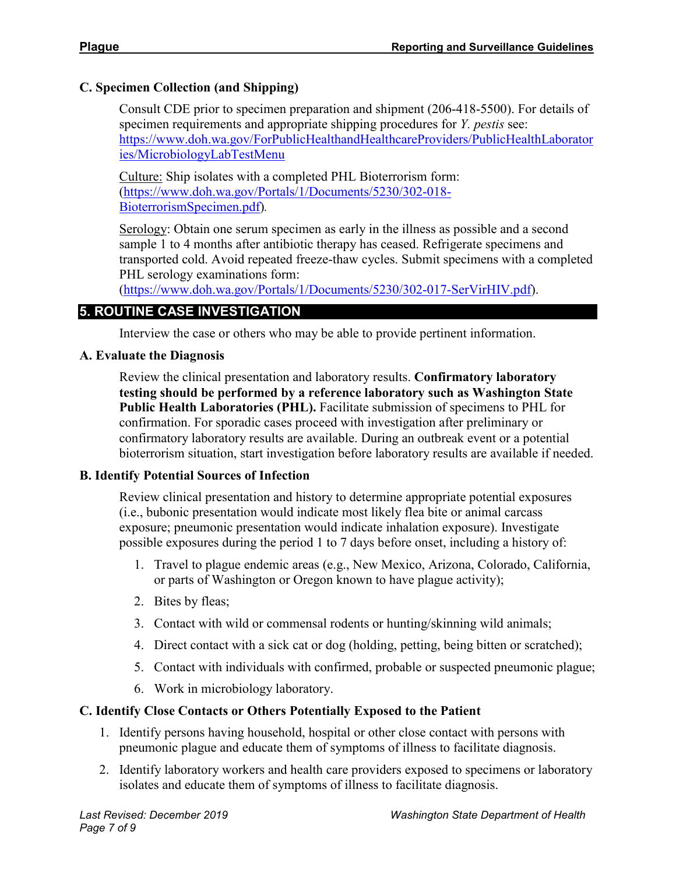## **C. Specimen Collection (and Shipping)**

Consult CDE prior to specimen preparation and shipment (206-418-5500). For details of specimen requirements and appropriate shipping procedures for *Y. pestis* see: [https://www.doh.wa.gov/ForPublicHealthandHealthcareProviders/PublicHealthLaborator](https://www.doh.wa.gov/ForPublicHealthandHealthcareProviders/PublicHealthLaboratories/MicrobiologyLabTestMenu) [ies/MicrobiologyLabTestMenu](https://www.doh.wa.gov/ForPublicHealthandHealthcareProviders/PublicHealthLaboratories/MicrobiologyLabTestMenu)

Culture: Ship isolates with a completed PHL Bioterrorism form: [\(https://www.doh.wa.gov/Portals/1/Documents/5230/302-018-](https://www.doh.wa.gov/Portals/1/Documents/5230/302-018-BioterrorismSpecimen.pdf) [BioterrorismSpecimen.pdf\)](https://www.doh.wa.gov/Portals/1/Documents/5230/302-018-BioterrorismSpecimen.pdf)*.*

Serology: Obtain one serum specimen as early in the illness as possible and a second sample 1 to 4 months after antibiotic therapy has ceased. Refrigerate specimens and transported cold. Avoid repeated freeze-thaw cycles. Submit specimens with a completed PHL serology examinations form:

[\(https://www.doh.wa.gov/Portals/1/Documents/5230/302-017-SerVirHIV.pdf\)](https://www.doh.wa.gov/Portals/1/Documents/5230/302-017-SerVirHIV.pdf).

# **5. ROUTINE CASE INVESTIGATION**

Interview the case or others who may be able to provide pertinent information.

## **A. Evaluate the Diagnosis**

Review the clinical presentation and laboratory results. **Confirmatory laboratory testing should be performed by a reference laboratory such as Washington State Public Health Laboratories (PHL).** Facilitate submission of specimens to PHL for confirmation. For sporadic cases proceed with investigation after preliminary or confirmatory laboratory results are available. During an outbreak event or a potential bioterrorism situation, start investigation before laboratory results are available if needed.

#### **B. Identify Potential Sources of Infection**

Review clinical presentation and history to determine appropriate potential exposures (i.e., bubonic presentation would indicate most likely flea bite or animal carcass exposure; pneumonic presentation would indicate inhalation exposure). Investigate possible exposures during the period 1 to 7 days before onset, including a history of:

- 1. Travel to plague endemic areas (e.g., New Mexico, Arizona, Colorado, California, or parts of Washington or Oregon known to have plague activity);
- 2. Bites by fleas;
- 3. Contact with wild or commensal rodents or hunting/skinning wild animals;
- 4. Direct contact with a sick cat or dog (holding, petting, being bitten or scratched);
- 5. Contact with individuals with confirmed, probable or suspected pneumonic plague;
- 6. Work in microbiology laboratory.

# **C. Identify Close Contacts or Others Potentially Exposed to the Patient**

- 1. Identify persons having household, hospital or other close contact with persons with pneumonic plague and educate them of symptoms of illness to facilitate diagnosis.
- 2. Identify laboratory workers and health care providers exposed to specimens or laboratory isolates and educate them of symptoms of illness to facilitate diagnosis.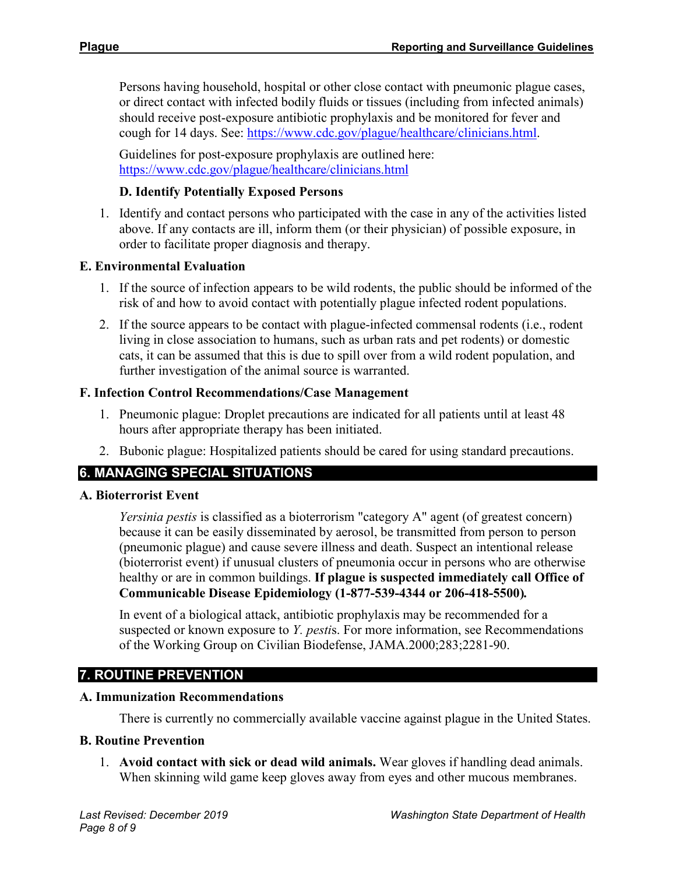Persons having household, hospital or other close contact with pneumonic plague cases, or direct contact with infected bodily fluids or tissues (including from infected animals) should receive post-exposure antibiotic prophylaxis and be monitored for fever and cough for 14 days. See: [https://www.cdc.gov/plague/healthcare/clinicians.html.](https://www.cdc.gov/plague/healthcare/clinicians.html)

Guidelines for post-exposure prophylaxis are outlined here: <https://www.cdc.gov/plague/healthcare/clinicians.html>

## **D. Identify Potentially Exposed Persons**

1. Identify and contact persons who participated with the case in any of the activities listed above. If any contacts are ill, inform them (or their physician) of possible exposure, in order to facilitate proper diagnosis and therapy.

# **E. Environmental Evaluation**

- 1. If the source of infection appears to be wild rodents, the public should be informed of the risk of and how to avoid contact with potentially plague infected rodent populations.
- 2. If the source appears to be contact with plague-infected commensal rodents (i.e., rodent living in close association to humans, such as urban rats and pet rodents) or domestic cats, it can be assumed that this is due to spill over from a wild rodent population, and further investigation of the animal source is warranted.

## **F. Infection Control Recommendations/Case Management**

- 1. Pneumonic plague: Droplet precautions are indicated for all patients until at least 48 hours after appropriate therapy has been initiated.
- 2. Bubonic plague: Hospitalized patients should be cared for using standard precautions.

# **6. MANAGING SPECIAL SITUATIONS**

#### **A. Bioterrorist Event**

*Yersinia pestis* is classified as a bioterrorism "category A" agent (of greatest concern) because it can be easily disseminated by aerosol, be transmitted from person to person (pneumonic plague) and cause severe illness and death. Suspect an intentional release (bioterrorist event) if unusual clusters of pneumonia occur in persons who are otherwise healthy or are in common buildings. **If plague is suspected immediately call Office of Communicable Disease Epidemiology (1-877-539-4344 or 206-418-5500)***.*

In event of a biological attack, antibiotic prophylaxis may be recommended for a suspected or known exposure to *Y. pesti*s. For more information, see Recommendations of the Working Group on Civilian Biodefense, JAMA.2000;283;2281-90.

# **7. ROUTINE PREVENTION**

#### **A. Immunization Recommendations**

There is currently no commercially available vaccine against plague in the United States.

#### **B. Routine Prevention**

1. **Avoid contact with sick or dead wild animals.** Wear gloves if handling dead animals. When skinning wild game keep gloves away from eyes and other mucous membranes.